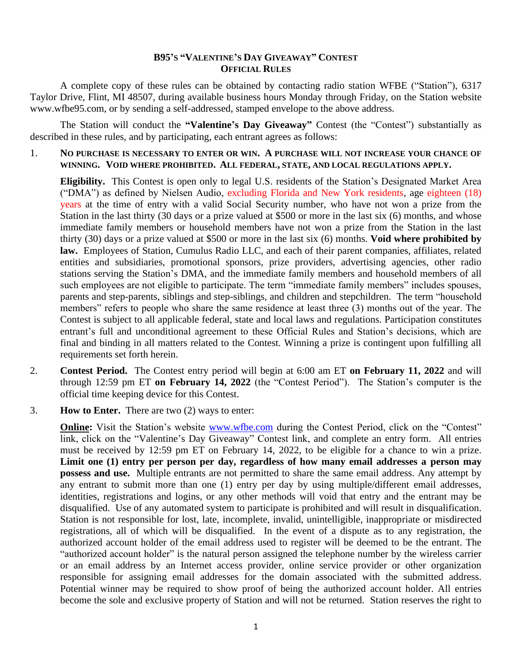## **B95'S "VALENTINE'S DAY GIVEAWAY" CONTEST OFFICIAL RULES**

A complete copy of these rules can be obtained by contacting radio station WFBE ("Station"), 6317 Taylor Drive, Flint, MI 48507, during available business hours Monday through Friday, on the Station website www.wfbe95.com, or by sending a self-addressed, stamped envelope to the above address.

The Station will conduct the "Valentine's Day Giveaway" Contest (the "Contest") substantially as described in these rules, and by participating, each entrant agrees as follows:

1. **NO PURCHASE IS NECESSARY TO ENTER OR WIN. A PURCHASE WILL NOT INCREASE YOUR CHANCE OF WINNING. VOID WHERE PROHIBITED. ALL FEDERAL, STATE, AND LOCAL REGULATIONS APPLY.**

**Eligibility.** This Contest is open only to legal U.S. residents of the Station's Designated Market Area ("DMA") as defined by Nielsen Audio, excluding Florida and New York residents, age eighteen (18) years at the time of entry with a valid Social Security number, who have not won a prize from the Station in the last thirty (30 days or a prize valued at \$500 or more in the last six (6) months, and whose immediate family members or household members have not won a prize from the Station in the last thirty (30) days or a prize valued at \$500 or more in the last six (6) months. **Void where prohibited by law.** Employees of Station, Cumulus Radio LLC, and each of their parent companies, affiliates, related entities and subsidiaries, promotional sponsors, prize providers, advertising agencies, other radio stations serving the Station's DMA, and the immediate family members and household members of all such employees are not eligible to participate. The term "immediate family members" includes spouses, parents and step-parents, siblings and step-siblings, and children and stepchildren. The term "household members" refers to people who share the same residence at least three (3) months out of the year. The Contest is subject to all applicable federal, state and local laws and regulations. Participation constitutes entrant's full and unconditional agreement to these Official Rules and Station's decisions, which are final and binding in all matters related to the Contest. Winning a prize is contingent upon fulfilling all requirements set forth herein.

- 2. **Contest Period.** The Contest entry period will begin at 6:00 am ET **on February 11, 2022** and will through 12:59 pm ET **on February 14, 2022** (the "Contest Period"). The Station's computer is the official time keeping device for this Contest.
- 3. **How to Enter.** There are two (2) ways to enter:

**Online:** Visit the Station's website [www.wfbe.com](http://www.wfbe.com/) during the Contest Period, click on the "Contest" link, click on the "Valentine's Day Giveaway" Contest link, and complete an entry form. All entries must be received by 12:59 pm ET on February 14, 2022, to be eligible for a chance to win a prize. **Limit one (1) entry per person per day, regardless of how many email addresses a person may possess and use.** Multiple entrants are not permitted to share the same email address. Any attempt by any entrant to submit more than one (1) entry per day by using multiple/different email addresses, identities, registrations and logins, or any other methods will void that entry and the entrant may be disqualified. Use of any automated system to participate is prohibited and will result in disqualification. Station is not responsible for lost, late, incomplete, invalid, unintelligible, inappropriate or misdirected registrations, all of which will be disqualified. In the event of a dispute as to any registration, the authorized account holder of the email address used to register will be deemed to be the entrant. The "authorized account holder" is the natural person assigned the telephone number by the wireless carrier or an email address by an Internet access provider, online service provider or other organization responsible for assigning email addresses for the domain associated with the submitted address. Potential winner may be required to show proof of being the authorized account holder. All entries become the sole and exclusive property of Station and will not be returned. Station reserves the right to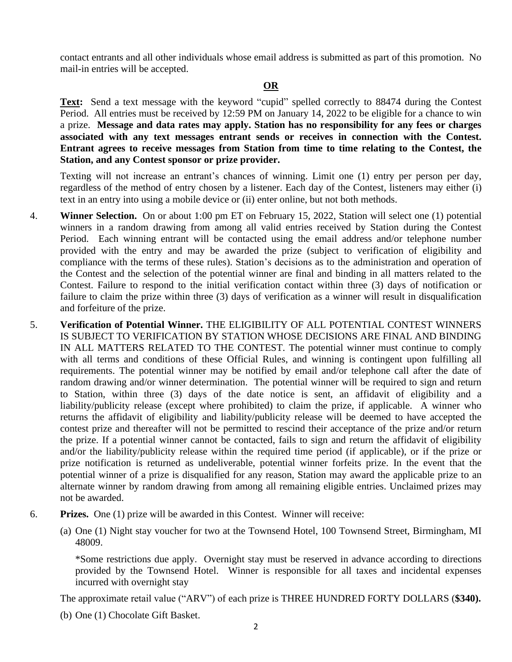contact entrants and all other individuals whose email address is submitted as part of this promotion. No mail-in entries will be accepted.

## **OR**

**Text:** Send a text message with the keyword "cupid" spelled correctly to 88474 during the Contest Period. All entries must be received by 12:59 PM on January 14, 2022 to be eligible for a chance to win a prize. **Message and data rates may apply. Station has no responsibility for any fees or charges associated with any text messages entrant sends or receives in connection with the Contest. Entrant agrees to receive messages from Station from time to time relating to the Contest, the Station, and any Contest sponsor or prize provider.** 

Texting will not increase an entrant's chances of winning. Limit one (1) entry per person per day, regardless of the method of entry chosen by a listener. Each day of the Contest, listeners may either (i) text in an entry into using a mobile device or (ii) enter online, but not both methods.

- 4. **Winner Selection.** On or about 1:00 pm ET on February 15, 2022, Station will select one (1) potential winners in a random drawing from among all valid entries received by Station during the Contest Period. Each winning entrant will be contacted using the email address and/or telephone number provided with the entry and may be awarded the prize (subject to verification of eligibility and compliance with the terms of these rules). Station's decisions as to the administration and operation of the Contest and the selection of the potential winner are final and binding in all matters related to the Contest. Failure to respond to the initial verification contact within three (3) days of notification or failure to claim the prize within three (3) days of verification as a winner will result in disqualification and forfeiture of the prize.
- 5. **Verification of Potential Winner.** THE ELIGIBILITY OF ALL POTENTIAL CONTEST WINNERS IS SUBJECT TO VERIFICATION BY STATION WHOSE DECISIONS ARE FINAL AND BINDING IN ALL MATTERS RELATED TO THE CONTEST. The potential winner must continue to comply with all terms and conditions of these Official Rules, and winning is contingent upon fulfilling all requirements. The potential winner may be notified by email and/or telephone call after the date of random drawing and/or winner determination. The potential winner will be required to sign and return to Station, within three (3) days of the date notice is sent, an affidavit of eligibility and a liability/publicity release (except where prohibited) to claim the prize, if applicable. A winner who returns the affidavit of eligibility and liability/publicity release will be deemed to have accepted the contest prize and thereafter will not be permitted to rescind their acceptance of the prize and/or return the prize. If a potential winner cannot be contacted, fails to sign and return the affidavit of eligibility and/or the liability/publicity release within the required time period (if applicable), or if the prize or prize notification is returned as undeliverable, potential winner forfeits prize. In the event that the potential winner of a prize is disqualified for any reason, Station may award the applicable prize to an alternate winner by random drawing from among all remaining eligible entries. Unclaimed prizes may not be awarded.
- 6. **Prizes.** One (1) prize will be awarded in this Contest. Winner will receive:
	- (a) One (1) Night stay voucher for two at the Townsend Hotel, 100 Townsend Street, Birmingham, MI 48009.

\*Some restrictions due apply. Overnight stay must be reserved in advance according to directions provided by the Townsend Hotel. Winner is responsible for all taxes and incidental expenses incurred with overnight stay

The approximate retail value ("ARV") of each prize is THREE HUNDRED FORTY DOLLARS (**\$340).** 

(b) One (1) Chocolate Gift Basket.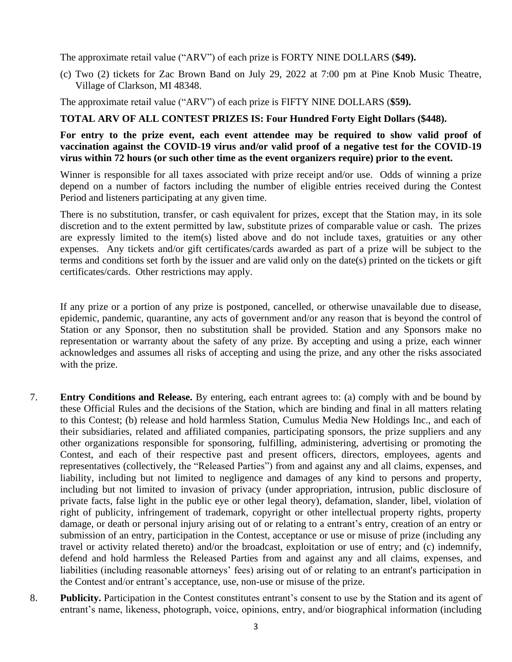The approximate retail value ("ARV") of each prize is FORTY NINE DOLLARS (**\$49).** 

(c) Two (2) tickets for Zac Brown Band on July 29, 2022 at 7:00 pm at Pine Knob Music Theatre, Village of Clarkson, MI 48348.

The approximate retail value ("ARV") of each prize is FIFTY NINE DOLLARS (**\$59).** 

## **TOTAL ARV OF ALL CONTEST PRIZES IS: Four Hundred Forty Eight Dollars (\$448).**

## **For entry to the prize event, each event attendee may be required to show valid proof of vaccination against the COVID-19 virus and/or valid proof of a negative test for the COVID-19 virus within 72 hours (or such other time as the event organizers require) prior to the event.**

Winner is responsible for all taxes associated with prize receipt and/or use. Odds of winning a prize depend on a number of factors including the number of eligible entries received during the Contest Period and listeners participating at any given time.

There is no substitution, transfer, or cash equivalent for prizes, except that the Station may, in its sole discretion and to the extent permitted by law, substitute prizes of comparable value or cash. The prizes are expressly limited to the item(s) listed above and do not include taxes, gratuities or any other expenses. Any tickets and/or gift certificates/cards awarded as part of a prize will be subject to the terms and conditions set forth by the issuer and are valid only on the date(s) printed on the tickets or gift certificates/cards. Other restrictions may apply.

If any prize or a portion of any prize is postponed, cancelled, or otherwise unavailable due to disease, epidemic, pandemic, quarantine, any acts of government and/or any reason that is beyond the control of Station or any Sponsor, then no substitution shall be provided. Station and any Sponsors make no representation or warranty about the safety of any prize. By accepting and using a prize, each winner acknowledges and assumes all risks of accepting and using the prize, and any other the risks associated with the prize.

- 7. **Entry Conditions and Release.** By entering, each entrant agrees to: (a) comply with and be bound by these Official Rules and the decisions of the Station, which are binding and final in all matters relating to this Contest; (b) release and hold harmless Station, Cumulus Media New Holdings Inc., and each of their subsidiaries, related and affiliated companies, participating sponsors, the prize suppliers and any other organizations responsible for sponsoring, fulfilling, administering, advertising or promoting the Contest, and each of their respective past and present officers, directors, employees, agents and representatives (collectively, the "Released Parties") from and against any and all claims, expenses, and liability, including but not limited to negligence and damages of any kind to persons and property, including but not limited to invasion of privacy (under appropriation, intrusion, public disclosure of private facts, false light in the public eye or other legal theory), defamation, slander, libel, violation of right of publicity, infringement of trademark, copyright or other intellectual property rights, property damage, or death or personal injury arising out of or relating to a entrant's entry, creation of an entry or submission of an entry, participation in the Contest, acceptance or use or misuse of prize (including any travel or activity related thereto) and/or the broadcast, exploitation or use of entry; and (c) indemnify, defend and hold harmless the Released Parties from and against any and all claims, expenses, and liabilities (including reasonable attorneys' fees) arising out of or relating to an entrant's participation in the Contest and/or entrant's acceptance, use, non-use or misuse of the prize.
- 8. **Publicity.** Participation in the Contest constitutes entrant's consent to use by the Station and its agent of entrant's name, likeness, photograph, voice, opinions, entry, and/or biographical information (including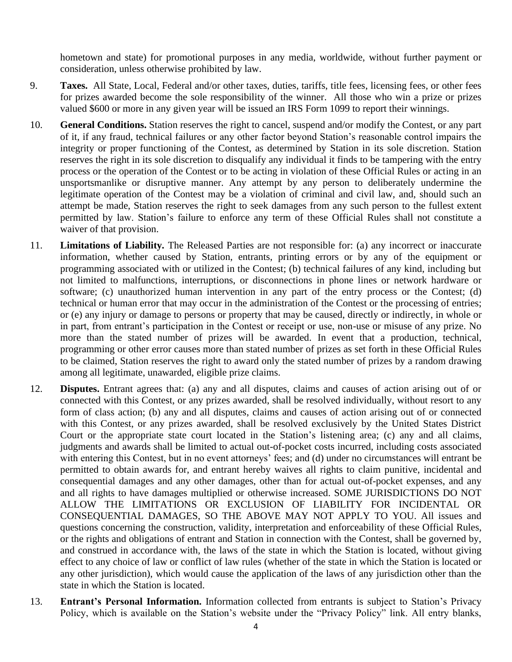hometown and state) for promotional purposes in any media, worldwide, without further payment or consideration, unless otherwise prohibited by law.

- 9. **Taxes.** All State, Local, Federal and/or other taxes, duties, tariffs, title fees, licensing fees, or other fees for prizes awarded become the sole responsibility of the winner. All those who win a prize or prizes valued \$600 or more in any given year will be issued an IRS Form 1099 to report their winnings.
- 10. **General Conditions.** Station reserves the right to cancel, suspend and/or modify the Contest, or any part of it, if any fraud, technical failures or any other factor beyond Station's reasonable control impairs the integrity or proper functioning of the Contest, as determined by Station in its sole discretion. Station reserves the right in its sole discretion to disqualify any individual it finds to be tampering with the entry process or the operation of the Contest or to be acting in violation of these Official Rules or acting in an unsportsmanlike or disruptive manner. Any attempt by any person to deliberately undermine the legitimate operation of the Contest may be a violation of criminal and civil law, and, should such an attempt be made, Station reserves the right to seek damages from any such person to the fullest extent permitted by law. Station's failure to enforce any term of these Official Rules shall not constitute a waiver of that provision.
- 11. **Limitations of Liability.** The Released Parties are not responsible for: (a) any incorrect or inaccurate information, whether caused by Station, entrants, printing errors or by any of the equipment or programming associated with or utilized in the Contest; (b) technical failures of any kind, including but not limited to malfunctions, interruptions, or disconnections in phone lines or network hardware or software; (c) unauthorized human intervention in any part of the entry process or the Contest; (d) technical or human error that may occur in the administration of the Contest or the processing of entries; or (e) any injury or damage to persons or property that may be caused, directly or indirectly, in whole or in part, from entrant's participation in the Contest or receipt or use, non-use or misuse of any prize. No more than the stated number of prizes will be awarded. In event that a production, technical, programming or other error causes more than stated number of prizes as set forth in these Official Rules to be claimed, Station reserves the right to award only the stated number of prizes by a random drawing among all legitimate, unawarded, eligible prize claims.
- 12. **Disputes.** Entrant agrees that: (a) any and all disputes, claims and causes of action arising out of or connected with this Contest, or any prizes awarded, shall be resolved individually, without resort to any form of class action; (b) any and all disputes, claims and causes of action arising out of or connected with this Contest, or any prizes awarded, shall be resolved exclusively by the United States District Court or the appropriate state court located in the Station's listening area; (c) any and all claims, judgments and awards shall be limited to actual out-of-pocket costs incurred, including costs associated with entering this Contest, but in no event attorneys' fees; and (d) under no circumstances will entrant be permitted to obtain awards for, and entrant hereby waives all rights to claim punitive, incidental and consequential damages and any other damages, other than for actual out-of-pocket expenses, and any and all rights to have damages multiplied or otherwise increased. SOME JURISDICTIONS DO NOT ALLOW THE LIMITATIONS OR EXCLUSION OF LIABILITY FOR INCIDENTAL OR CONSEQUENTIAL DAMAGES, SO THE ABOVE MAY NOT APPLY TO YOU. All issues and questions concerning the construction, validity, interpretation and enforceability of these Official Rules, or the rights and obligations of entrant and Station in connection with the Contest, shall be governed by, and construed in accordance with, the laws of the state in which the Station is located, without giving effect to any choice of law or conflict of law rules (whether of the state in which the Station is located or any other jurisdiction), which would cause the application of the laws of any jurisdiction other than the state in which the Station is located.
- 13. **Entrant's Personal Information.** Information collected from entrants is subject to Station's Privacy Policy, which is available on the Station's website under the "Privacy Policy" link. All entry blanks,